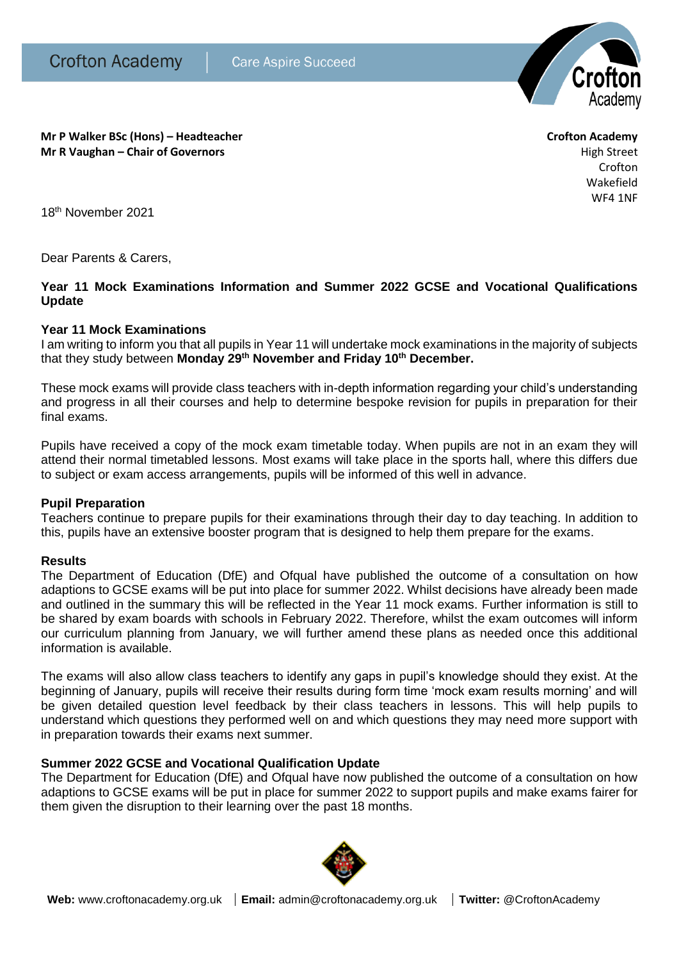

**Mr P Walker BSc (Hons) – Headteacher Crofton Academy Mr R Vaughan – Chair of Governors High Street High Street High Street High Street** 

Crofton Wakefield WF4 1NF

18th November 2021

Dear Parents & Carers,

# **Year 11 Mock Examinations Information and Summer 2022 GCSE and Vocational Qualifications Update**

## **Year 11 Mock Examinations**

I am writing to inform you that all pupils in Year 11 will undertake mock examinations in the majority of subjects that they study between **Monday 29th November and Friday 10th December.**

These mock exams will provide class teachers with in-depth information regarding your child's understanding and progress in all their courses and help to determine bespoke revision for pupils in preparation for their final exams.

Pupils have received a copy of the mock exam timetable today. When pupils are not in an exam they will attend their normal timetabled lessons. Most exams will take place in the sports hall, where this differs due to subject or exam access arrangements, pupils will be informed of this well in advance.

#### **Pupil Preparation**

Teachers continue to prepare pupils for their examinations through their day to day teaching. In addition to this, pupils have an extensive booster program that is designed to help them prepare for the exams.

#### **Results**

The Department of Education (DfE) and Ofqual have published the outcome of a consultation on how adaptions to GCSE exams will be put into place for summer 2022. Whilst decisions have already been made and outlined in the summary this will be reflected in the Year 11 mock exams. Further information is still to be shared by exam boards with schools in February 2022. Therefore, whilst the exam outcomes will inform our curriculum planning from January, we will further amend these plans as needed once this additional information is available.

The exams will also allow class teachers to identify any gaps in pupil's knowledge should they exist. At the beginning of January, pupils will receive their results during form time 'mock exam results morning' and will be given detailed question level feedback by their class teachers in lessons. This will help pupils to understand which questions they performed well on and which questions they may need more support with in preparation towards their exams next summer.

# **Summer 2022 GCSE and Vocational Qualification Update**

The Department for Education (DfE) and Ofqual have now published the outcome of a consultation on how adaptions to GCSE exams will be put in place for summer 2022 to support pupils and make exams fairer for them given the disruption to their learning over the past 18 months.